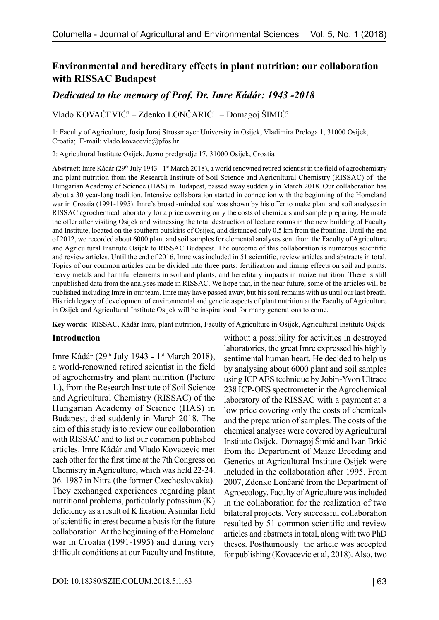# **Environmental and hereditary effects in plant nutrition: our collaboration with RISSAC Budapest**

## *Dedicated to the memory of Prof. Dr. Imre Kádár: 1943 -2018*

Vlado KOVAČEVIĆ<sup>1</sup> – Zdenko LONČARIĆ<sup>1</sup> – Domagoj ŠIMIĆ<sup>2</sup>

1: Faculty of Agriculture, Josip Juraj Strossmayer University in Osijek, Vladimira Preloga 1, 31000 Osijek, Croatia; E-mail: [vlado.kovacevic@pfos.hr](mailto:vlado.kovacevic@pfos.hr)

2: Agricultural Institute Osijek, Juzno predgradje 17, 31000 Osijek, Croatia

Abstract: Imre Kádár (29<sup>th</sup> July 1943 - 1<sup>st</sup> March 2018), a world renowned retired scientist in the field of agrochemistry and plant nutrition from the Research Institute of Soil Science and Agricultural Chemistry (RISSAC) of the Hungarian Academy of Science (HAS) in Budapest, passed away suddenly in March 2018. Our collaboration has about a 30 year-long tradition. Intensive collaboration started in connection with the beginning of the Homeland war in Croatia (1991-1995). Imre's broad -minded soul was shown by his offer to make plant and soil analyses in RISSAC agrochemical laboratory for a price covering only the costs of chemicals and sample preparing. He made the offer after visiting Osijek and witnessing the total destruction of lecture rooms in the new building of Faculty and Institute, located on the southern outskirts of Osijek, and distanced only 0.5 km from the frontline. Until the end of 2012, we recorded about 6000 plant and soil samples for elemental analyses sent from the Faculty of Agriculture and Agricultural Institute Osijek to RISSAC Budapest. The outcome of this collaboration is numerous scientific and review articles. Until the end of 2016, Imre was included in 51 scientific, review articles and abstracts in total. Topics of our common articles can be divided into three parts: fertilization and liming effects on soil and plants, heavy metals and harmful elements in soil and plants, and hereditary impacts in maize nutrition. There is still unpublished data from the analyses made in RISSAC. We hope that, in the near future, some of the articles will be published including Imre in our team. Imre may have passed away, but his soul remains with us until our last breath. His rich legacy of development of environmental and genetic aspects of plant nutrition at the Faculty of Agriculture in Osijek and Agricultural Institute Osijek will be inspirational for many generations to come.

**Key words**: RISSAC, Kádár Imre, plant nutrition, Faculty of Agriculture in Osijek, Agricultural Institute Osijek

#### **Introduction**

Imre Kádár (29<sup>th</sup> July 1943 - 1<sup>st</sup> March 2018), a world-renowned retired scientist in the field of agrochemistry and plant nutrition (Picture 1.), from the Research Institute of Soil Science and Agricultural Chemistry (RISSAC) of the Hungarian Academy of Science (HAS) in Budapest, died suddenly in March 2018. The aim of this study is to review our collaboration with RISSAC and to list our common published articles. Imre Kádár and Vlado Kovacevic met each other for the first time at the 7th Congress on Chemistry in Agriculture, which was held 22-24. 06. 1987 in Nitra (the former Czechoslovakia). They exchanged experiences regarding plant nutritional problems, particularly potassium (K) deficiency as a result of K fixation. A similar field of scientific interest became a basis for the future collaboration. At the beginning of the Homeland war in Croatia (1991-1995) and during very difficult conditions at our Faculty and Institute,

without a possibility for activities in destroyed laboratories, the great Imre expressed his highly sentimental human heart. He decided to help us by analysing about 6000 plant and soil samples using ICP AES technique by Jobin-Yvon Ultrace 238 ICP-OES spectrometer in the Agrochemical laboratory of the RISSAC with a payment at a low price covering only the costs of chemicals and the preparation of samples. The costs of the chemical analyses were covered by Agricultural Institute Osijek. Domagoj Šimić and Ivan Brkić from the Department of Maize Breeding and Genetics at Agricultural Institute Osijek were included in the collaboration after 1995. From 2007, Zdenko Lončarić from the Department of Agroecology, Faculty of Agriculture was included in the collaboration for the realization of two bilateral projects. Very successful collaboration resulted by 51 common scientific and review articles and abstracts in total, along with two PhD theses. Posthumously the article was accepted for publishing (Kovacevic et al, 2018). Also, two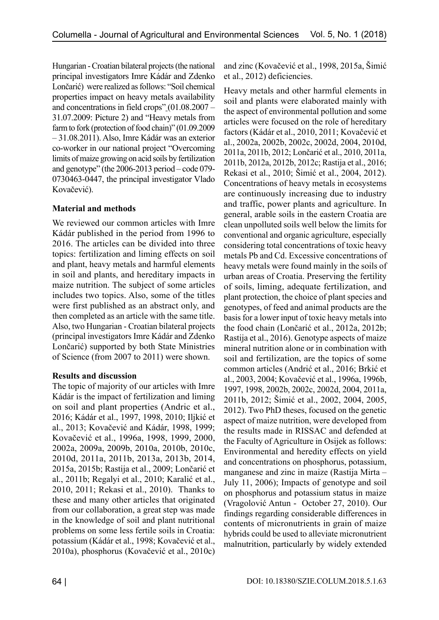Hungarian - Croatian bilateral projects (the national principal investigators Imre Kádár and Zdenko Lončarić) were realized as follows: "Soil chemical properties impact on heavy metals availability and concentrations in field crops" (01.08.2007 – 31.07.2009: Picture 2) and "Heavy metals from farm to fork (protection of food chain)" (01.09.2009 – 31.08.2011). Also, Imre Kádár was an exterior co-worker in our national project "Overcoming limits of maize growing on acid soils by fertilization and genotype" (the 2006-2013 period – code 079- 0730463-0447, the principal investigator Vlado Kovačević).

## **Material and methods**

We reviewed our common articles with Imre Kádár published in the period from 1996 to 2016. The articles can be divided into three topics: fertilization and liming effects on soil and plant, heavy metals and harmful elements in soil and plants, and hereditary impacts in maize nutrition. The subject of some articles includes two topics. Also, some of the titles were first published as an abstract only, and then completed as an article with the same title. Also, two Hungarian - Croatian bilateral projects (principal investigators Imre Kádár and Zdenko Lončarić) supported by both State Ministries of Science (from 2007 to 2011) were shown.

### **Results and discussion**

The topic of majority of our articles with Imre Kádár is the impact of fertilization and liming on soil and plant properties (Andric et al., 2016; Kádár et al., 1997, 1998, 2010; Iljkić et al., 2013; Kovačević and Kádár, 1998, 1999; Kovačević et al., 1996a, 1998, 1999, 2000, 2002a, 2009a, 2009b, 2010a, 2010b, 2010c, 2010d, 2011a, 2011b, 2013a, 2013b, 2014, 2015a, 2015b; Rastija et al., 2009; Lončarić et al., 2011b; Regalyi et al., 2010; Karalić et al., 2010, 2011; Rekasi et al., 2010). Thanks to these and many other articles that originated from our collaboration, a great step was made in the knowledge of soil and plant nutritional problems on some less fertile soils in Croatia: potassium (Kádár et al., 1998; Kovačević et al., 2010a), phosphorus (Kovačević et al., 2010c)

and zinc (Kovačević et al., 1998, 2015a, Šimić et al., 2012) deficiencies.

Heavy metals and other harmful elements in soil and plants were elaborated mainly with the aspect of environmental pollution and some articles were focused on the role of hereditary factors (Kádár et al., 2010, 2011; Kovačević et al., 2002a, 2002b, 2002c, 2002d, 2004, 2010d, 2011a, 2011b, 2012; Lončarić et al., 2010, 2011a, 2011b, 2012a, 2012b, 2012c; Rastija et al., 2016; Rekasi et al., 2010; Šimić et al., 2004, 2012). Concentrations of heavy metals in ecosystems are continuously increasing due to industry and traffic, power plants and agriculture. In general, arable soils in the eastern Croatia are clean unpolluted soils well below the limits for conventional and organic agriculture, especially considering total concentrations of toxic heavy metals Pb and Cd. Excessive concentrations of heavy metals were found mainly in the soils of urban areas of Croatia. Preserving the fertility of soils, liming, adequate fertilization, and plant protection, the choice of plant species and genotypes, of feed and animal products are the basis for a lower input of toxic heavy metals into the food chain (Lončarić et al., 2012a, 2012b; Rastija et al., 2016). Genotype aspects of maize mineral nutrition alone or in combination with soil and fertilization, are the topics of some common articles (Andrić et al., 2016; Brkić et al., 2003, 2004; Kovačević et al., 1996a, 1996b, 1997, 1998, 2002b, 2002c, 2002d, 2004, 2011a, 2011b, 2012; Šimić et al., 2002, 2004, 2005, 2012). Two PhD theses, focused on the genetic aspect of maize nutrition, were developed from the results made in RISSAC and defended at the Faculty of Agriculture in Osijek as follows: Environmental and heredity effects on yield and concentrations on phosphorus, potassium, manganese and zinc in maize (Rastija Mirta – July 11, 2006); Impacts of genotype and soil on phosphorus and potassium status in maize (Vragolović Antun - October 27, 2010). Our findings regarding considerable differences in contents of micronutrients in grain of maize hybrids could be used to alleviate micronutrient malnutrition, particularly by widely extended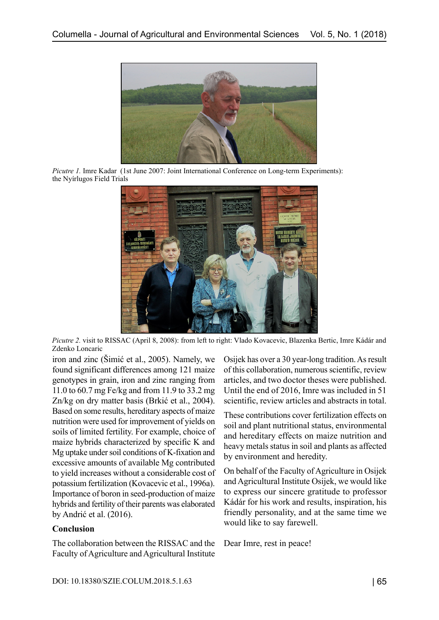

*Picutre 1.* Imre Kadar (1st June 2007: Joint International Conference on Long-term Experiments): the Nyírlugos Field Trials



*Picutre 2.* visit to RISSAC (April 8, 2008): from left to right: Vlado Kovacevic, Blazenka Bertic, Imre Kádár and Zdenko Loncaric

iron and zinc (Šimić et al., 2005). Namely, we found significant differences among 121 maize genotypes in grain, iron and zinc ranging from 11.0 to 60.7 mg Fe/kg and from 11.9 to 33.2 mg Zn/kg on dry matter basis (Brkić et al., 2004). Based on some results, hereditary aspects of maize nutrition were used for improvement of yields on soils of limited fertility. For example, choice of maize hybrids characterized by specific K and Mg uptake under soil conditions of K-fixation and excessive amounts of available Mg contributed to yield increases without a considerable cost of potassium fertilization (Kovacevic et al., 1996a). Importance of boron in seed-production of maize hybrids and fertility of their parents was elaborated by Andrić et al. (2016).

### **Conclusion**

The collaboration between the RISSAC and the Faculty of Agriculture and Agricultural Institute Osijek has over a 30 year-long tradition. As result of this collaboration, numerous scientific, review articles, and two doctor theses were published. Until the end of 2016, Imre was included in 51 scientific, review articles and abstracts in total.

These contributions cover fertilization effects on soil and plant nutritional status, environmental and hereditary effects on maize nutrition and heavy metals status in soil and plants as affected by environment and heredity.

On behalf of the Faculty of Agriculture in Osijek and Agricultural Institute Osijek, we would like to express our sincere gratitude to professor Kádár for his work and results, inspiration, his friendly personality, and at the same time we would like to say farewell.

Dear Imre, rest in peace!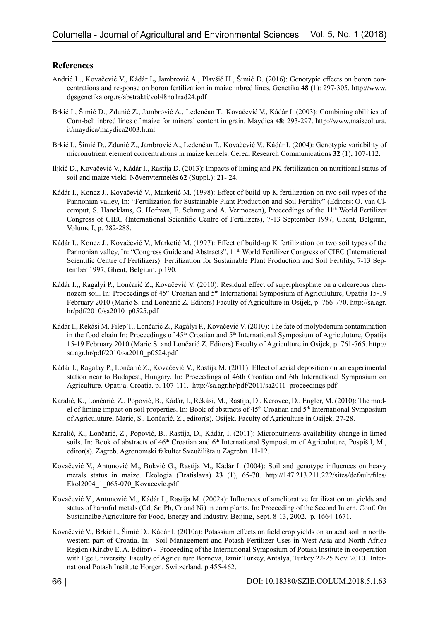### **References**

- Andrić L., Kovačević V., Kádár I**.,** Jambrović A., Plavšić H., Šimić D. (2016): Genotypic effects on boron concentrations and response on boron fertilization in maize inbred lines. Genetika **48** (1): 297-305. [http://www.](http://www.dgsgenetika.org.rs/abstrakti/vol48no1rad24.pdf) [dgsgenetika.org.rs/abstrakti/vol48no1rad24.pdf](http://www.dgsgenetika.org.rs/abstrakti/vol48no1rad24.pdf)
- Brkić I., Šimić D., Zdunić Z., Jambrović A., Ledenčan T., Kovačević V., Kádár I. (2003): Combining abilities of Corn-belt inbred lines of maize for mineral content in grain. Maydica **48**: 293-297. [http://www.maiscoltura.](http://www.maiscoltura.it/maydica/maydica2003.html) [it/maydica/maydica2003.html](http://www.maiscoltura.it/maydica/maydica2003.html)
- Brkić I., Šimić D., Zdunić Z., Jambrović A., Ledenčan T., Kovačević V., Kádár I. (2004): Genotypic variability of micronutrient element concentrations in maize kernels. Cereal Research Communications **32** (1), 107-112.
- Iljkić D., Kovačević V., Kádár I., Rastija D. (2013): Impacts of liming and PK-fertilization on nutritional status of soil and maize yield. Növénytermelés **62** (Suppl.): 21- 24.
- Kádár I., Koncz J., Kovačević V., Marketić M. (1998): Effect of build-up K fertilization on two soil types of the Pannonian valley, In: "Fertilization for Sustainable Plant Production and Soil Fertility" (Editors: O. van Cleemput, S. Haneklaus, G. Hofman, E. Schnug and A. Vermoesen), Proceedings of the 11<sup>th</sup> World Fertilizer Congress of CIEC (International Scientific Centre of Fertilizers), 7-13 September 1997, Ghent, Belgium, Volume I, p. 282-288.
- Kádár I., Koncz J., Kovačević V., Marketić M. (1997): Effect of build-up K fertilization on two soil types of the Pannonian valley, In: "Congress Guide and Abstracts", 11<sup>th</sup> World Fertilizer Congress of CIEC (International Scientific Centre of Fertilizers): Fertilization for Sustainable Plant Production and Soil Fertility, 7-13 September 1997, Ghent, Belgium, p.190.
- Kádár I.,, Ragályi P., Lončarić Z., Kovačević V. (2010): Residual effect of superphosphate on a calcareous chernozem soil. In: Proceedings of 45<sup>th</sup> Croatian and 5<sup>th</sup> International Symposium of Agriculuture, Opatija 15-19 February 2010 (Maric S. and Lončarić Z. Editors) Faculty of Agriculture in Osijek, p. 766-770. [http://sa.agr.](http://sa.agr.hr/pdf/2010/sa2010_p0525.pdf) [hr/pdf/2010/sa2010\\_p0525.pdf](http://sa.agr.hr/pdf/2010/sa2010_p0525.pdf)
- Kádár I., Rékási M. Filep T., Lončarić Z., Ragályi P., Kovačević V. (2010): The fate of molybdenum contamination in the food chain In: Proceedings of  $45<sup>th</sup>$  Croatian and  $5<sup>th</sup>$  International Symposium of Agriculuture, Opatija 15-19 February 2010 (Maric S. and Lončarić Z. Editors) Faculty of Agriculture in Osijek, p. 761-765. [http://](http://sa.agr.hr/pdf/2010/sa2010_p0524.pdf) [sa.agr.hr/pdf/2010/sa2010\\_p0524.pdf](http://sa.agr.hr/pdf/2010/sa2010_p0524.pdf)
- Kádár I., Ragalay P., Lončarić Z., Kovačević V., Rastija M. (2011): Effect of aerial deposition on an experimental station near to Budapest, Hungary. In: Proceedings of 46th Croatian and 6th International Symposium on Agriculture. Opatija. Croatia. p. 107-111. [http://sa.agr.hr/pdf/2011/sa2011\\_proceedings.pdf](http://sa.agr.hr/pdf/2011/sa2011_proceedings.pdf)
- Karalić, K., Lončarić, Z., Popović, B., Kádár, I., Rékási, M., Rastija, D., Kerovec, D., Engler, M. (2010): The model of liming impact on soil properties. In: Book of abstracts of 45th Croatian and 5th International Symposium of Agriculuture, Marić, S., Lončarić, Z., editor(s). Osijek. Faculty of Agriculture in Osijek. 27-28.
- Karalić, K., Lončarić, Z., Popović, B., Rastija, D., Kádár, I. (2011): Micronutrients availability change in limed soils. In: Book of abstracts of 46<sup>th</sup> Croatian and 6<sup>th</sup> International Symposium of Agriculuture, Pospišil, M., editor(s). Zagreb. Agronomski fakultet Sveučilišta u Zagrebu. 11-12.
- Kovačević V., Antunović M., Bukvić G., Rastija M., Kádár I. (2004): Soil and genotype influences on heavy metals status in maize. Ekologia (Bratislava) **23** (1), 65-70. [http://147.213.211.222/sites/default/files/](http://147.213.211.222/sites/default/files/Ekol2004_1_065-070_Kovacevic.pdf) [Ekol2004\\_1\\_065-070\\_Kovacevic.pdf](http://147.213.211.222/sites/default/files/Ekol2004_1_065-070_Kovacevic.pdf)
- Kovačević V., Antunović M., Kádár I., Rastija M. (2002a): Influences of ameliorative fertilization on yields and status of harmful metals (Cd, Sr, Pb, Cr and Ni) in corn plants. In: Proceeding of the Second Intern. Conf. On Sustainalbe Agriculture for Food, Energy and Industry, Beijing, Sept. 8-13, 2002. p. 1664-1671.
- Kovačević V., Brkić I., Šimić D., Kádár I. (2010a): Potassium effects on field crop yields on an acid soil in northwestern part of Croatia. In: Soil Management and Potash Fertilizer Uses in West Asia and North Africa Region (Kirkby E. A. Editor) - Proceeding of the International Symposium of Potash Institute in cooperation with Ege University Faculty of Agriculture Bornova, Izmir Turkey, Antalya, Turkey 22-25 Nov. 2010. International Potash Institute Horgen, Switzerland, p.455-462.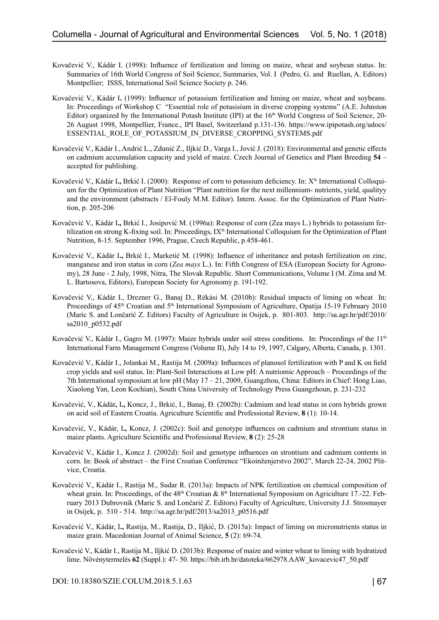- Kovačević V., Kádár I. (1998): Influence of fertilization and liming on maize, wheat and soybean status. In: Summaries of 16th World Congress of Soil Science, Summaries, Vol. I (Pedro, G. and Ruellan, A. Editors) Montpellier; ISSS, International Soil Science Society p. 246.
- Kovačević V., Kádár I**.** (1999): Influence of potassium fertilization and liming on maize, wheat and soybeans. In: Proceedings of Workshop C "Essential role of potasisium in diverse cropping systems" (A.E. Johnston Editor) organized by the International Potash Institute (IPI) at the 16th World Congress of Soil Science, 20- 26 August 1998, Montpellier, France., IPI Basel, Switzerland p.131-136. [https://www.ipipotash.org/udocs/](https://www.ipipotash.org/udocs/ESSENTIAL_ROLE_OF_POTASSIUM_IN_DIVERSE_CROPPING_SYSTEMS.pdf) [ESSENTIAL\\_ROLE\\_OF\\_POTASSIUM\\_IN\\_DIVERSE\\_CROPPING\\_SYSTEMS.pdf](https://www.ipipotash.org/udocs/ESSENTIAL_ROLE_OF_POTASSIUM_IN_DIVERSE_CROPPING_SYSTEMS.pdf)
- Kovačević V., Kádár I., Andrić L., Zdunić Z., Iljkić D., Varga I., Jović J. (2018): Environmental and genetic effects on cadmium accumulation capacity and yield of maize. Czech Journal of Genetics and Plant Breeding **54** – accepted for publishing.
- Kovačević V., Kádár I., Brkić I. (2000): Response of corn to potassium deficiency. In: X<sup>th</sup> International Colloquium for the Optimization of Plant Nutrition "Plant nutrition for the next millennium- nutrients, yield, qualityy and the environment (abstracts / El-Fouly M.M. Editor). Intern. Assoc. for the Optimization of Plant Nutrition, p. 205-206
- Kovačević V., Kádár I**.,** Brkić I., Josipović M. (1996a): Response of corn (Zea mays L.) hybrids to potassium fertilization on strong K-fixing soil. In: Proceedings, IX<sup>th</sup> International Colloquium for the Optimization of Plant Nutrition, 8-15. September 1996, Prague, Czech Republic, p.458-461.
- Kovačević V., Kádár I**.,** Brkić I., Marketić M. (1998): Influence of inheritance and potash fertilization on zinc, manganese and iron status in corn (*Zea mays* L.). In: Fifth Congress of ESA (European Society for Agronomy), 28 June - 2 July, 1998, Nitra, The Slovak Republic. Short Communications, Volume I (M. Zima and M. L. Bartosova, Editors), European Society for Agronomy p. 191-192.
- Kovačević V., Kádár I., Drezner G., Banaj D., Rékási M. (2010b): Residual impacts of liming on wheat In: Proceedings of 45<sup>th</sup> Croatian and 5<sup>th</sup> International Symposium of Agriculture, Opatija 15-19 February 2010 (Maric S. and Lončarić Z. Editors) Faculty of Agriculture in Osijek, p. 801-803. [http://sa.agr.hr/pdf/2010/](http://sa.agr.hr/pdf/2010/sa2010_p0532.pdf) [sa2010\\_p0532.pdf](http://sa.agr.hr/pdf/2010/sa2010_p0532.pdf)
- Kovačević V., Kádár I., Gagro M. (1997): Maize hybrids under soil stress conditions. In: Proceedings of the 11<sup>th</sup> International Farm Management Congress (Volume II), July 14 to 19, 1997, Calgary, Alberta, Canada, p. 1301.
- Kovačević V., Kádár I., Jolankai M., Rastija M. (2009a): Influences of planosol fertilization with P and K on field crop yields and soil status. In: Plant-Soil Interactions at Low pH: A nutriomic Approach – Proceedings of the 7th International symposium at low pH (May 17 – 21, 2009, Guangzhou, China: Editors in Chief: Hong Liao, Xiaolong Yan, Leon Kochian), South China University of Technology Press Guangzhoun, p. 231-232
- Kovačević, V., Kádár**,** I**.,** Koncz, J., Brkić, I., Banaj, Đ. (2002b): Cadmium and lead status in corn hybrids grown on acid soil of Eastern Croatia. Agriculture Scientific and Professional Review, **8** (1): 10-14.
- Kovačević, V., Kádár, I**.,** Koncz, J. (2002c): Soil and genotype influences on cadmium and strontium status in maize plants. Agriculture Scientific and Professional Review, **8** (2): 25-28
- Kovačević V., Kádár I., Koncz J. (2002d): Soil and genotype influences on strontium and cadmium contents in corn. In: Book of abstract – the First Croatian Conference "Ekoinženjerstvo 2002", March 22-24, 2002 Plitvice, Croatia.
- Kovačević V., Kádár I., Rastija M., Sudar R. (2013a): Impacts of NPK fertilization on chemical composition of wheat grain. In: Proceedings, of the 48<sup>th</sup> Croatian & 8<sup>th</sup> International Symposium on Agriculture 17.-22. February 2013 Dubrovnik (Maric S. and Lončarić Z. Editors) Faculty of Agriculture, University J.J. Strosmayer in Osijek, p. 510 - 514. [http://sa.agr.hr/pdf/2013/sa2013\\_p0516.pdf](http://sa.agr.hr/pdf/2013/sa2013_p0516.pdf)
- Kovačević V., Kádár, I**.,** Rastija, M., Rastija, D., Iljkić, D. (2015a): Impact of liming on micronutrients status in maize grain. Macedonian Journal of Animal Science, **5** (2): 69-74.
- Kovačević V., Kádár I., Rastija M., Iljkić D. (2013b): Response of maize and winter wheat to liming with hydratized lime. Növénytermelés **62** (Suppl.): 47- 50. [https://bib.irb.hr/datoteka/662978.AAW\\_kovacevic47\\_50.pdf](https://bib.irb.hr/datoteka/662978.AAW_kovacevic47_50.pdf)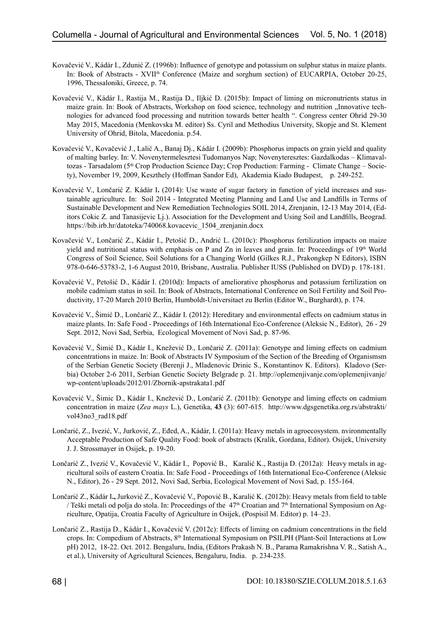- Kovačević V., Kádár I., Zdunić Z. (1996b): Influence of genotype and potassium on sulphur status in maize plants. In: Book of Abstracts - XVII<sup>th</sup> Conference (Maize and sorghum section) of EUCARPIA, October 20-25, 1996, Thessaloniki, Greece, p. 74.
- Kovačević V., Kádár I., Rastija M., Rastija D., Iljkić D. (2015b): Impact of liming on micronutrients status in maize grain. In: Book of Abstracts, Workshop on food science, technology and nutrition "Innovative technologies for advanced food processing and nutrition towards better health ". Congress center Ohrid 29-30 May 2015, Macedonia (Menkovska M. editor) Ss. Cyril and Methodius University, Skopje and St. Klement University of Ohrid, Bitola, Macedonia. p.54.
- Kovačević V., Kovačević J., Lalić A., Banaj Dj., Kádár I. (2009b): Phosphorus impacts on grain yield and quality of malting barley. In: V. Novenytermelesztesi Tudomanyos Nap; Novenyteresztes: Gazdalkodas – Klimavaltozas - Tarsadalom (5<sup>th</sup> Crop Production Science Day; Crop Production: Farming - Climate Change – Society), November 19, 2009, Keszthely (Hoffman Sandor Ed), Akademia Kiado Budapest, p. 249-252.
- Kovačević V., Lončarić Z. Kádár I**.** (2014): Use waste of sugar factory in function of yield increases and sustainable agriculture. In: Soil 2014 - Integrated Meeting Planning and Land Use and Landfills in Terms of Sustainable Development and New Remediation Technologies SOIL 2014, Zrenjanin, 12-13 May 2014, (Editors Cokic Z. and Tanasijevic Lj.). Association for the Development and Using Soil and Landfills, Beograd. [https://bib.irb.hr/datoteka/740068.kovacevic\\_1504\\_zrenjanin.docx](https://bib.irb.hr/datoteka/740068.kovacevic_1504_zrenjanin.docx)
- Kovačević V., Lončarić Z., Kádár I., Petošić D., Andrić L. (2010c): Phosphorus fertilization impacts on maize yield and nutritional status with emphasis on P and Zn in leaves and grain. In: Proceedings of  $19<sup>th</sup>$  World Congress of Soil Science, Soil Solutions for a Changing World (Gilkes R.J., Prakongkep N Editors), ISBN 978-0-646-53783-2, 1-6 August 2010, Brisbane, Australia. Publisher IUSS (Published on DVD) p. 178-181.
- Kovačević V., Petošić D., Kádár I. (2010d): Impacts of ameliorative phosphorus and potassium fertilization on mobile cadmium status in soil. In: Book of Abstracts, International Conference on Soil Fertility and Soil Productivity, 17-20 March 2010 Berlin, Humboldt-Universitaet zu Berlin (Editor W., Burghardt), p. 174.
- Kovačević V., Šimić D., Lončarić Z., Kádár I. (2012): Hereditary and environmental effects on cadmium status in maize plants. In: Safe Food - Proceedings of 16th International Eco-Conference (Aleksic N., Editor), 26 - 29 Sept. 2012, Novi Sad, Serbia, Ecological Movement of Novi Sad, p. 87-96.
- Kovačević V., Šimić D., Kádár I., Knežević D., Lončarić Z. (2011a): Genotype and liming effects on cadmium concentrations in maize. In: Book of Abstracts IV Symposium of the Section of the Breeding of Organismsm of the Serbian Genetic Society (Berenji J., Mladenovic Drinic S., Konstantinov K. Editors). Kladovo (Serbia) October 2-6 2011, Serbian Genetic Society Belgrade p. 21. [http://oplemenjivanje.com/oplemenjivanje/](http://oplemenjivanje.com/oplemenjivanje/wp-content/uploads/2012/01/Zbornik-apstrakata1.pdf) [wp-content/uploads/2012/01/Zbornik-apstrakata1.pdf](http://oplemenjivanje.com/oplemenjivanje/wp-content/uploads/2012/01/Zbornik-apstrakata1.pdf)
- Kovačević V., Šimic D., Kádár I., Knežević D., Lončarić Z. (2011b): Genotype and liming effects on cadmium concentration in maize (*Zea mays* L.), Genetika, **43** (3): 607-615. [http://www.dgsgenetika.org.rs/abstrakti/](http://www.dgsgenetika.org.rs/abstrakti/vol43no3_rad18.pdf) [vol43no3\\_rad18.pdf](http://www.dgsgenetika.org.rs/abstrakti/vol43no3_rad18.pdf)
- Lončarić, Z., Ivezić, V., Jurković, Z., Eđed, A., Kádár, I. (2011a): Heavy metals in agroecosystem. nvironmentally Acceptable Production of Safe Quality Food: book of abstracts (Kralik, Gordana, Editor). Osijek, University J. J. Strossmayer in Osijek, p. 19-20.
- Lončarić Z., Ivezić V., Kovačević V., Kádár I., Popović B., Karalić K., Rastija D. (2012a): Heavy metals in agricultural soils of eastern Croatia. In: Safe Food - Proceedings of 16th International Eco-Conference (Aleksic N., Editor), 26 - 29 Sept. 2012, Novi Sad, Serbia, Ecological Movement of Novi Sad, p. 155-164.
- Lončarić Z., Kádár I**.,** Jurković Z., Kovačević V., Popović B., Karalić K. (2012b): Heavy metals from field to table / Teški metali od polja do stola. In: Proceedings of the 47<sup>th</sup> Croatian and 7<sup>th</sup> International Symposium on Agriculture, Opatija, Croatia Faculty of Agriculture in Osijek, (Pospisil M. Editor) p. 14–23.
- Lončarić Z., Rastija D., Kádár I., Kovačević V. (2012c): Effects of liming on cadmium concentrations in the field crops. In: Compedium of Abstracts, 8<sup>th</sup> International Symposium on PSILPH (Plant-Soil Interactions at Low pH) 2012, 18-22. Oct. 2012. Bengaluru, India, (Editors Prakash N. B., Parama Ramakrishna V. R., Satish A., et al.), University of Agricultural Sciences, Bengaluru, India. p. 234-235.